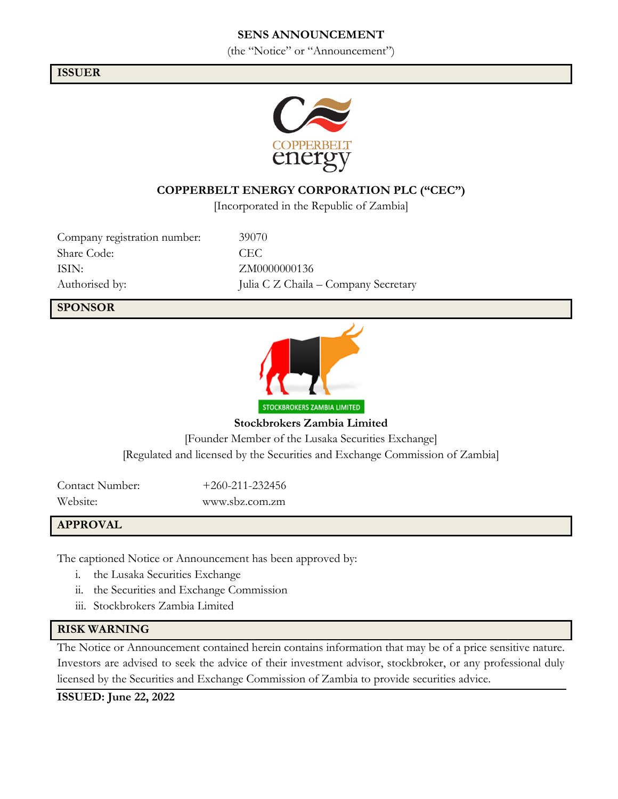## **SENS ANNOUNCEMENT**

(the "Notice" or "Announcement")

#### **ISSUER**



## **COPPERBELT ENERGY CORPORATION PLC ("CEC")**

[Incorporated in the Republic of Zambia]

Company registration number: 39070 Share Code: CEC ISIN: ZM0000000136

Authorised by: Julia C Z Chaila – Company Secretary

#### **SPONSOR**



**Stockbrokers Zambia Limited** [Founder Member of the Lusaka Securities Exchange] [Regulated and licensed by the Securities and Exchange Commission of Zambia]

Contact Number: +260-211-232456 Website: www.sbz.com.zm

#### **APPROVAL**

The captioned Notice or Announcement has been approved by:

- i. the Lusaka Securities Exchange
- ii. the Securities and Exchange Commission
- iii. Stockbrokers Zambia Limited

#### **RISK WARNING**

The Notice or Announcement contained herein contains information that may be of a price sensitive nature. Investors are advised to seek the advice of their investment advisor, stockbroker, or any professional duly licensed by the Securities and Exchange Commission of Zambia to provide securities advice.

**ISSUED: June 22, 2022**